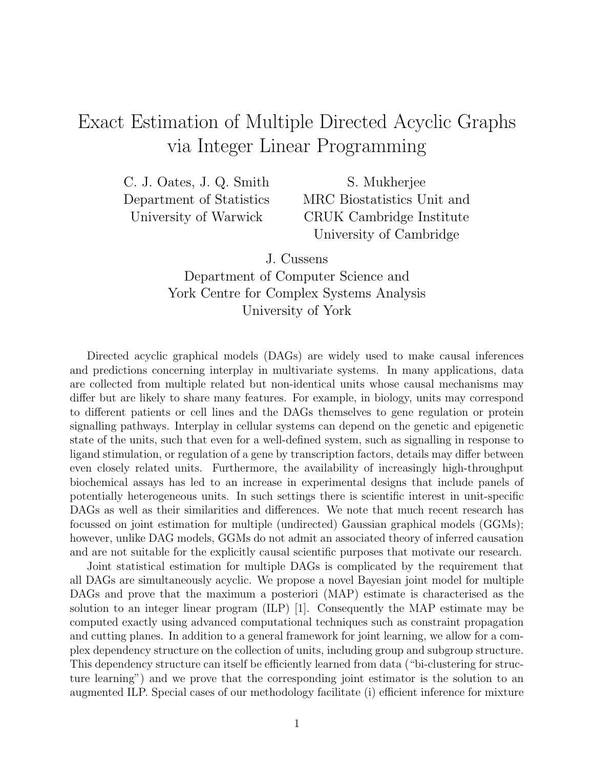## Exact Estimation of Multiple Directed Acyclic Graphs via Integer Linear Programming

C. J. Oates, J. Q. Smith Department of Statistics University of Warwick

S. Mukherjee MRC Biostatistics Unit and CRUK Cambridge Institute University of Cambridge

J. Cussens

Department of Computer Science and York Centre for Complex Systems Analysis University of York

Directed acyclic graphical models (DAGs) are widely used to make causal inferences and predictions concerning interplay in multivariate systems. In many applications, data are collected from multiple related but non-identical units whose causal mechanisms may differ but are likely to share many features. For example, in biology, units may correspond to different patients or cell lines and the DAGs themselves to gene regulation or protein signalling pathways. Interplay in cellular systems can depend on the genetic and epigenetic state of the units, such that even for a well-defined system, such as signalling in response to ligand stimulation, or regulation of a gene by transcription factors, details may differ between even closely related units. Furthermore, the availability of increasingly high-throughput biochemical assays has led to an increase in experimental designs that include panels of potentially heterogeneous units. In such settings there is scientific interest in unit-specific DAGs as well as their similarities and differences. We note that much recent research has focussed on joint estimation for multiple (undirected) Gaussian graphical models (GGMs); however, unlike DAG models, GGMs do not admit an associated theory of inferred causation and are not suitable for the explicitly causal scientific purposes that motivate our research.

Joint statistical estimation for multiple DAGs is complicated by the requirement that all DAGs are simultaneously acyclic. We propose a novel Bayesian joint model for multiple DAGs and prove that the maximum a posteriori (MAP) estimate is characterised as the solution to an integer linear program (ILP) [1]. Consequently the MAP estimate may be computed exactly using advanced computational techniques such as constraint propagation and cutting planes. In addition to a general framework for joint learning, we allow for a complex dependency structure on the collection of units, including group and subgroup structure. This dependency structure can itself be efficiently learned from data ("bi-clustering for structure learning") and we prove that the corresponding joint estimator is the solution to an augmented ILP. Special cases of our methodology facilitate (i) efficient inference for mixture